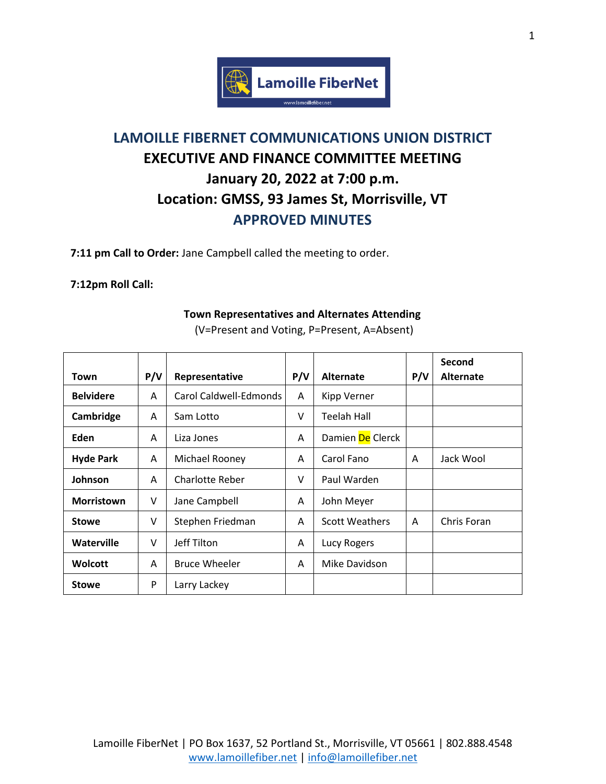

# **LAMOILLE FIBERNET COMMUNICATIONS UNION DISTRICT EXECUTIVE AND FINANCE COMMITTEE MEETING January 20, 2022 at 7:00 p.m. Location: GMSS, 93 James St, Morrisville, VT APPROVED MINUTES**

**7:11 pm Call to Order:** Jane Campbell called the meeting to order.

## **7:12pm Roll Call:**

#### **Town Representatives and Alternates Attending**

|                   |     |                        |        |                       |     | Second           |
|-------------------|-----|------------------------|--------|-----------------------|-----|------------------|
| Town              | P/V | Representative         | P/V    | <b>Alternate</b>      | P/V | <b>Alternate</b> |
| <b>Belvidere</b>  | A   | Carol Caldwell-Edmonds | A      | Kipp Verner           |     |                  |
| Cambridge         | A   | Sam Lotto              | $\vee$ | Teelah Hall           |     |                  |
| Eden              | A   | Liza Jones             | A      | Damien De Clerck      |     |                  |
| <b>Hyde Park</b>  | A   | Michael Rooney         | A      | Carol Fano            | A   | Jack Wool        |
| Johnson           | A   | Charlotte Reber        | $\vee$ | Paul Warden           |     |                  |
| <b>Morristown</b> | v   | Jane Campbell          | A      | John Meyer            |     |                  |
| <b>Stowe</b>      | v   | Stephen Friedman       | A      | <b>Scott Weathers</b> | A   | Chris Foran      |
| Waterville        | V   | Jeff Tilton            | A      | Lucy Rogers           |     |                  |
| <b>Wolcott</b>    | A   | <b>Bruce Wheeler</b>   | A      | Mike Davidson         |     |                  |
| <b>Stowe</b>      | P   | Larry Lackey           |        |                       |     |                  |

(V=Present and Voting, P=Present, A=Absent)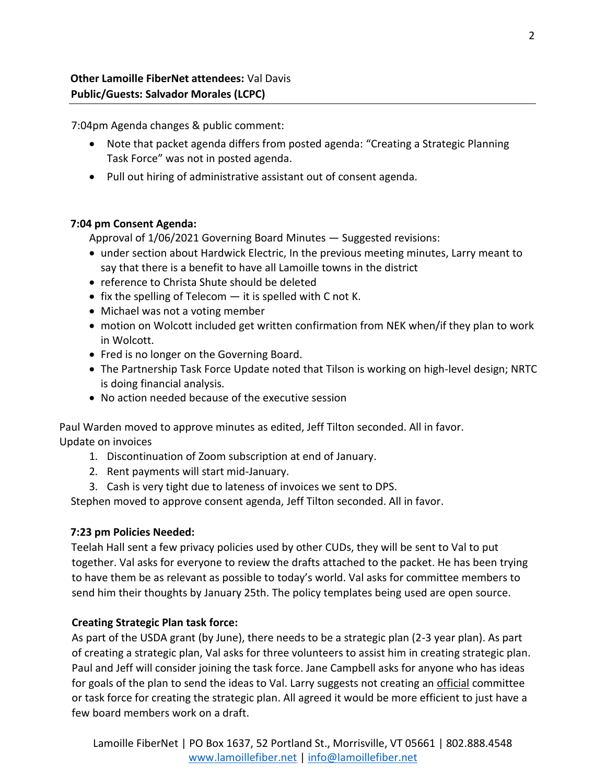7:04pm Agenda changes & public comment:

- Note that packet agenda differs from posted agenda: "Creating a Strategic Planning Task Force" was not in posted agenda.
- Pull out hiring of administrative assistant out of consent agenda.

## **7:04 pm Consent Agenda:**

Approval of 1/06/2021 Governing Board Minutes — Suggested revisions:

- under section about Hardwick Electric, In the previous meeting minutes, Larry meant to say that there is a benefit to have all Lamoille towns in the district
- reference to Christa Shute should be deleted
- fix the spelling of Telecom  $-$  it is spelled with C not K.
- Michael was not a voting member
- motion on Wolcott included get written confirmation from NEK when/if they plan to work in Wolcott.
- Fred is no longer on the Governing Board.
- The Partnership Task Force Update noted that Tilson is working on high-level design; NRTC is doing financial analysis.
- No action needed because of the executive session

Paul Warden moved to approve minutes as edited, Jeff Tilton seconded. All in favor. Update on invoices

- 1. Discontinuation of Zoom subscription at end of January.
- 2. Rent payments will start mid-January.
- 3. Cash is very tight due to lateness of invoices we sent to DPS.

Stephen moved to approve consent agenda, Jeff Tilton seconded. All in favor.

## **7:23 pm Policies Needed:**

Teelah Hall sent a few privacy policies used by other CUDs, they will be sent to Val to put together. Val asks for everyone to review the drafts attached to the packet. He has been trying to have them be as relevant as possible to today's world. Val asks for committee members to send him their thoughts by January 25th. The policy templates being used are open source.

## **Creating Strategic Plan task force:**

As part of the USDA grant (by June), there needs to be a strategic plan (2-3 year plan). As part of creating a strategic plan, Val asks for three volunteers to assist him in creating strategic plan. Paul and Jeff will consider joining the task force. Jane Campbell asks for anyone who has ideas for goals of the plan to send the ideas to Val. Larry suggests not creating an *official* committee or task force for creating the strategic plan. All agreed it would be more efficient to just have a few board members work on a draft.